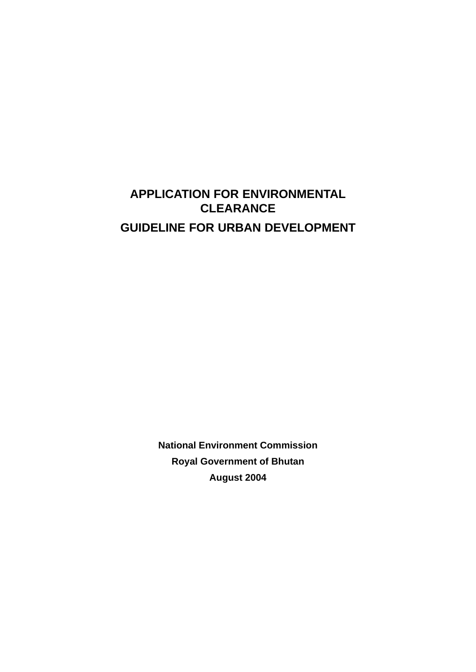# **APPLICATION FOR ENVIRONMENTAL CLEARANCE GUIDELINE FOR URBAN DEVELOPMENT**

**National Environment Commission Royal Government of Bhutan August 2004**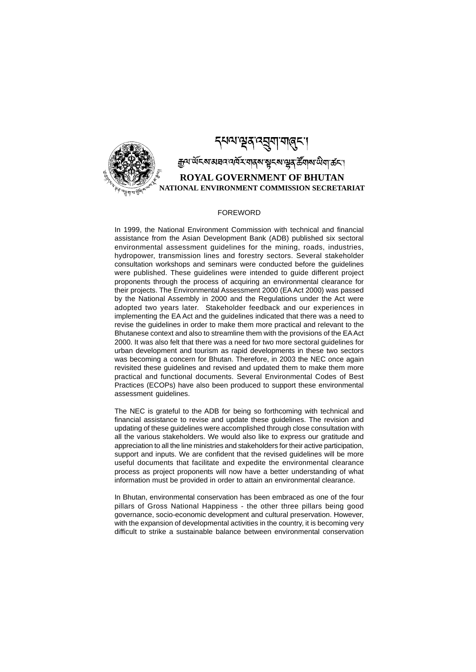

**ন্মম্মন্থৰ দব্ৰ্**মামাৰ্নে

# ক্ৰুণ অঁহৰা অধ্যন বৰ্ষ স্বৰৰ স্বাৰ্থ প্ৰযুক্ত স্ক্ৰীৰা অধ্যাপ্ত কৰি **ROYAL GOVERNMENT OF BHUTAN NATIONAL ENVIRONMENT COMMISSION SECRETARIAT**

#### FOREWORD

In 1999, the National Environment Commission with technical and financial assistance from the Asian Development Bank (ADB) published six sectoral environmental assessment guidelines for the mining, roads, industries, hydropower, transmission lines and forestry sectors. Several stakeholder consultation workshops and seminars were conducted before the guidelines were published. These guidelines were intended to guide different project proponents through the process of acquiring an environmental clearance for their projects. The Environmental Assessment 2000 (EA Act 2000) was passed by the National Assembly in 2000 and the Regulations under the Act were adopted two years later. Stakeholder feedback and our experiences in implementing the EA Act and the guidelines indicated that there was a need to revise the guidelines in order to make them more practical and relevant to the Bhutanese context and also to streamline them with the provisions of the EA Act 2000. It was also felt that there was a need for two more sectoral guidelines for urban development and tourism as rapid developments in these two sectors was becoming a concern for Bhutan. Therefore, in 2003 the NEC once again revisited these guidelines and revised and updated them to make them more practical and functional documents. Several Environmental Codes of Best Practices (ECOPs) have also been produced to support these environmental assessment guidelines.

The NEC is grateful to the ADB for being so forthcoming with technical and financial assistance to revise and update these guidelines. The revision and updating of these guidelines were accomplished through close consultation with all the various stakeholders. We would also like to express our gratitude and appreciation to all the line ministries and stakeholders for their active participation, support and inputs. We are confident that the revised guidelines will be more useful documents that facilitate and expedite the environmental clearance process as project proponents will now have a better understanding of what information must be provided in order to attain an environmental clearance.

In Bhutan, environmental conservation has been embraced as one of the four pillars of Gross National Happiness - the other three pillars being good governance, socio-economic development and cultural preservation. However, with the expansion of developmental activities in the country, it is becoming very difficult to strike a sustainable balance between environmental conservation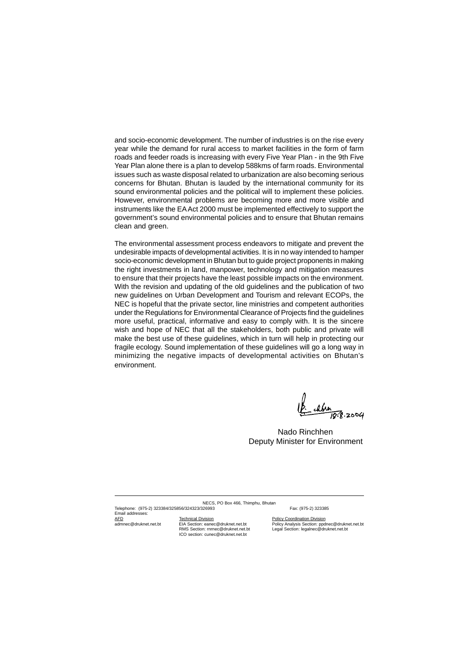and socio-economic development. The number of industries is on the rise every year while the demand for rural access to market facilities in the form of farm roads and feeder roads is increasing with every Five Year Plan - in the 9th Five Year Plan alone there is a plan to develop 588kms of farm roads. Environmental issues such as waste disposal related to urbanization are also becoming serious concerns for Bhutan. Bhutan is lauded by the international community for its sound environmental policies and the political will to implement these policies. However, environmental problems are becoming more and more visible and instruments like the EA Act 2000 must be implemented effectively to support the government's sound environmental policies and to ensure that Bhutan remains clean and green.

The environmental assessment process endeavors to mitigate and prevent the undesirable impacts of developmental activities. It is in no way intended to hamper socio-economic development in Bhutan but to guide project proponents in making the right investments in land, manpower, technology and mitigation measures to ensure that their projects have the least possible impacts on the environment. With the revision and updating of the old guidelines and the publication of two new guidelines on Urban Development and Tourism and relevant ECOPs, the NEC is hopeful that the private sector, line ministries and competent authorities under the Regulations for Environmental Clearance of Projects find the guidelines more useful, practical, informative and easy to comply with. It is the sincere wish and hope of NEC that all the stakeholders, both public and private will make the best use of these guidelines, which in turn will help in protecting our fragile ecology. Sound implementation of these guidelines will go a long way in minimizing the negative impacts of developmental activities on Bhutan's environment.

12 china 18.8.2004

 Nado Rinchhen Deputy Minister for Environment

NECS, PO Box 466, Thimphu, Bhutan Telephone: (975-2) 323384/325856/324323/326993 Fax: (975-2) 323385

Email addresses:

AFD<br>
AFD Technical Division<br>
Afnec@druknet.net.bt<br>
RMS Section: mrnec@druknet.net.bt<br>
RMS Section: mrnec@druknet.net.bt admnec@druknet.net.bt EIA Section: eanec@druknet.net.bt Policy Analysis Section: ppdnec@druknet.net.bt RMS Section: rnrnec@druknet.net.bt Legal Section: legalnec@druknet.net.bt ICO section: cunec@druknet.net.bt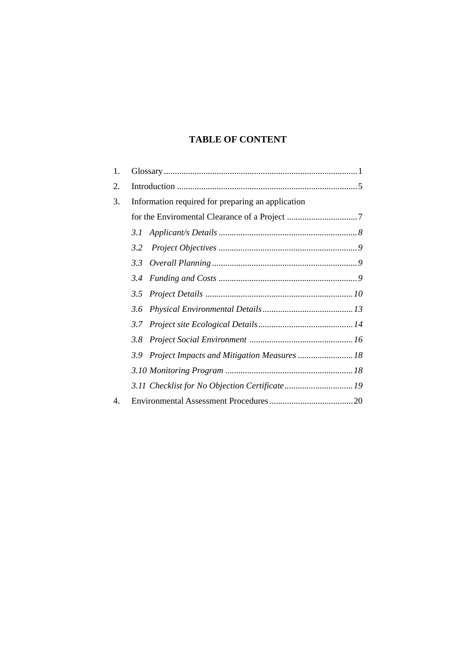## **TABLE OF CONTENT**

| 1. |                                                   |  |  |  |  |  |  |  |
|----|---------------------------------------------------|--|--|--|--|--|--|--|
| 2. |                                                   |  |  |  |  |  |  |  |
| 3. | Information required for preparing an application |  |  |  |  |  |  |  |
|    |                                                   |  |  |  |  |  |  |  |
|    |                                                   |  |  |  |  |  |  |  |
|    | 3.2                                               |  |  |  |  |  |  |  |
|    |                                                   |  |  |  |  |  |  |  |
|    | 3.4                                               |  |  |  |  |  |  |  |
|    | 3.5                                               |  |  |  |  |  |  |  |
|    | 3.6                                               |  |  |  |  |  |  |  |
|    | 3.7                                               |  |  |  |  |  |  |  |
|    | 3.8                                               |  |  |  |  |  |  |  |
|    | 3.9                                               |  |  |  |  |  |  |  |
|    |                                                   |  |  |  |  |  |  |  |
|    |                                                   |  |  |  |  |  |  |  |
| 4. |                                                   |  |  |  |  |  |  |  |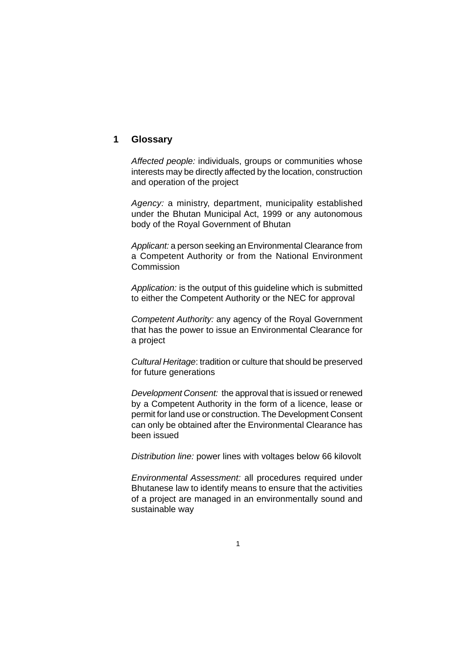## **1 Glossary**

*Affected people:* individuals, groups or communities whose interests may be directly affected by the location, construction and operation of the project

*Agency:* a ministry, department, municipality established under the Bhutan Municipal Act, 1999 or any autonomous body of the Royal Government of Bhutan

*Applicant:* a person seeking an Environmental Clearance from a Competent Authority or from the National Environment **Commission** 

*Application:* is the output of this guideline which is submitted to either the Competent Authority or the NEC for approval

*Competent Authority:* any agency of the Royal Government that has the power to issue an Environmental Clearance for a project

*Cultural Heritage*: tradition or culture that should be preserved for future generations

*Development Consent:* the approval that is issued or renewed by a Competent Authority in the form of a licence, lease or permit for land use or construction. The Development Consent can only be obtained after the Environmental Clearance has been issued

*Distribution line:* power lines with voltages below 66 kilovolt

*Environmental Assessment:* all procedures required under Bhutanese law to identify means to ensure that the activities of a project are managed in an environmentally sound and sustainable way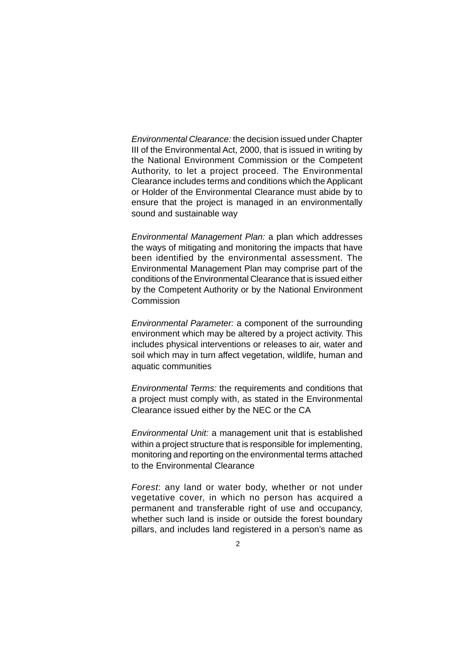*Environmental Clearance:* the decision issued under Chapter III of the Environmental Act, 2000, that is issued in writing by the National Environment Commission or the Competent Authority, to let a project proceed. The Environmental Clearance includes terms and conditions which the Applicant or Holder of the Environmental Clearance must abide by to ensure that the project is managed in an environmentally sound and sustainable way

*Environmental Management Plan:* a plan which addresses the ways of mitigating and monitoring the impacts that have been identified by the environmental assessment. The Environmental Management Plan may comprise part of the conditions of the Environmental Clearance that is issued either by the Competent Authority or by the National Environment **Commission** 

*Environmental Parameter:* a component of the surrounding environment which may be altered by a project activity. This includes physical interventions or releases to air, water and soil which may in turn affect vegetation, wildlife, human and aquatic communities

*Environmental Terms:* the requirements and conditions that a project must comply with, as stated in the Environmental Clearance issued either by the NEC or the CA

*Environmental Unit:* a management unit that is established within a project structure that is responsible for implementing, monitoring and reporting on the environmental terms attached to the Environmental Clearance

*Forest*: any land or water body, whether or not under vegetative cover, in which no person has acquired a permanent and transferable right of use and occupancy, whether such land is inside or outside the forest boundary pillars, and includes land registered in a person's name as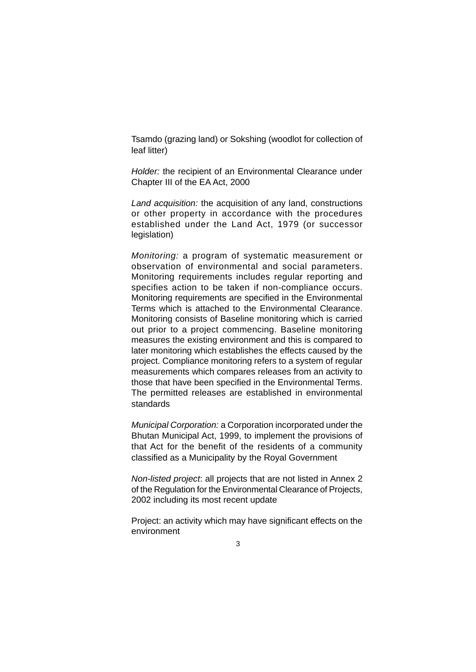Tsamdo (grazing land) or Sokshing (woodlot for collection of leaf litter)

*Holder:* the recipient of an Environmental Clearance under Chapter III of the EA Act, 2000

*Land acquisition:* the acquisition of any land, constructions or other property in accordance with the procedures established under the Land Act, 1979 (or successor legislation)

*Monitoring:* a program of systematic measurement or observation of environmental and social parameters. Monitoring requirements includes regular reporting and specifies action to be taken if non-compliance occurs. Monitoring requirements are specified in the Environmental Terms which is attached to the Environmental Clearance. Monitoring consists of Baseline monitoring which is carried out prior to a project commencing. Baseline monitoring measures the existing environment and this is compared to later monitoring which establishes the effects caused by the project. Compliance monitoring refers to a system of regular measurements which compares releases from an activity to those that have been specified in the Environmental Terms. The permitted releases are established in environmental standards

*Municipal Corporation:* a Corporation incorporated under the Bhutan Municipal Act, 1999, to implement the provisions of that Act for the benefit of the residents of a community classified as a Municipality by the Royal Government

*Non-listed project*: all projects that are not listed in Annex 2 of the Regulation for the Environmental Clearance of Projects, 2002 including its most recent update

Project: an activity which may have significant effects on the environment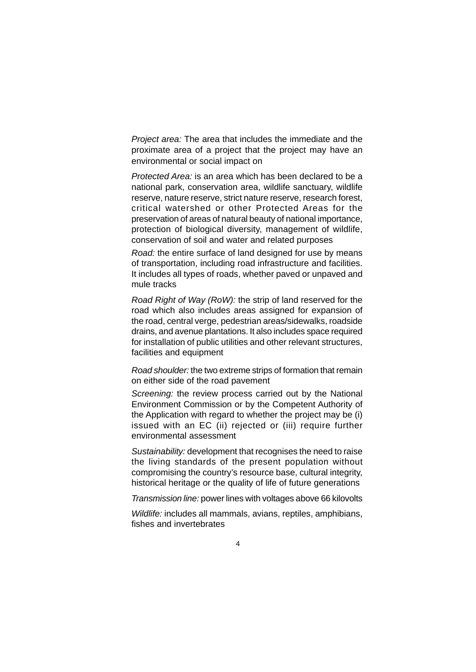*Project area:* The area that includes the immediate and the proximate area of a project that the project may have an environmental or social impact on

*Protected Area:* is an area which has been declared to be a national park, conservation area, wildlife sanctuary, wildlife reserve, nature reserve, strict nature reserve, research forest, critical watershed or other Protected Areas for the preservation of areas of natural beauty of national importance, protection of biological diversity, management of wildlife, conservation of soil and water and related purposes

*Road:* the entire surface of land designed for use by means of transportation, including road infrastructure and facilities. It includes all types of roads, whether paved or unpaved and mule tracks

*Road Right of Way (RoW):* the strip of land reserved for the road which also includes areas assigned for expansion of the road, central verge, pedestrian areas/sidewalks, roadside drains, and avenue plantations. It also includes space required for installation of public utilities and other relevant structures, facilities and equipment

*Road shoulder:* the two extreme strips of formation that remain on either side of the road pavement

*Screening:* the review process carried out by the National Environment Commission or by the Competent Authority of the Application with regard to whether the project may be (i) issued with an EC (ii) rejected or (iii) require further environmental assessment

*Sustainability:* development that recognises the need to raise the living standards of the present population without compromising the country's resource base, cultural integrity, historical heritage or the quality of life of future generations

*Transmission line:* power lines with voltages above 66 kilovolts

*Wildlife:* includes all mammals, avians, reptiles, amphibians, fishes and invertebrates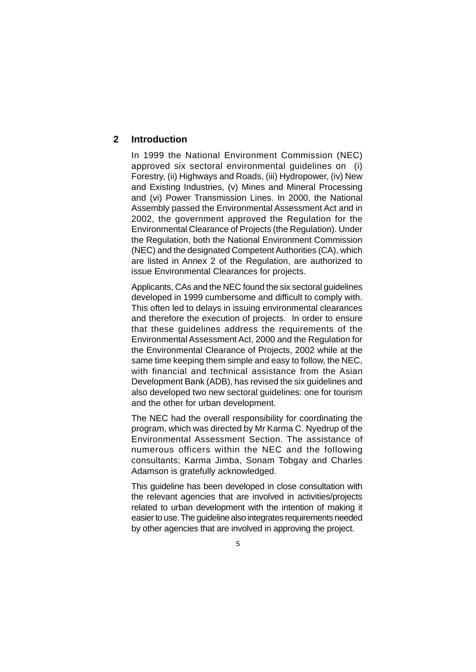## **2 Introduction**

In 1999 the National Environment Commission (NEC) approved six sectoral environmental guidelines on (i) Forestry, (ii) Highways and Roads, (iii) Hydropower, (iv) New and Existing Industries, (v) Mines and Mineral Processing and (vi) Power Transmission Lines. In 2000, the National Assembly passed the Environmental Assessment Act and in 2002, the government approved the Regulation for the Environmental Clearance of Projects (the Regulation). Under the Regulation, both the National Environment Commission (NEC) and the designated Competent Authorities (CA), which are listed in Annex 2 of the Regulation, are authorized to issue Environmental Clearances for projects.

Applicants, CAs and the NEC found the six sectoral guidelines developed in 1999 cumbersome and difficult to comply with. This often led to delays in issuing environmental clearances and therefore the execution of projects. In order to ensure that these guidelines address the requirements of the Environmental Assessment Act, 2000 and the Regulation for the Environmental Clearance of Projects, 2002 while at the same time keeping them simple and easy to follow, the NEC, with financial and technical assistance from the Asian Development Bank (ADB), has revised the six guidelines and also developed two new sectoral guidelines: one for tourism and the other for urban development.

The NEC had the overall responsibility for coordinating the program, which was directed by Mr Karma C. Nyedrup of the Environmental Assessment Section. The assistance of numerous officers within the NEC and the following consultants; Karma Jimba, Sonam Tobgay and Charles Adamson is gratefully acknowledged.

This guideline has been developed in close consultation with the relevant agencies that are involved in activities/projects related to urban development with the intention of making it easier to use. The guideline also integrates requirements needed by other agencies that are involved in approving the project.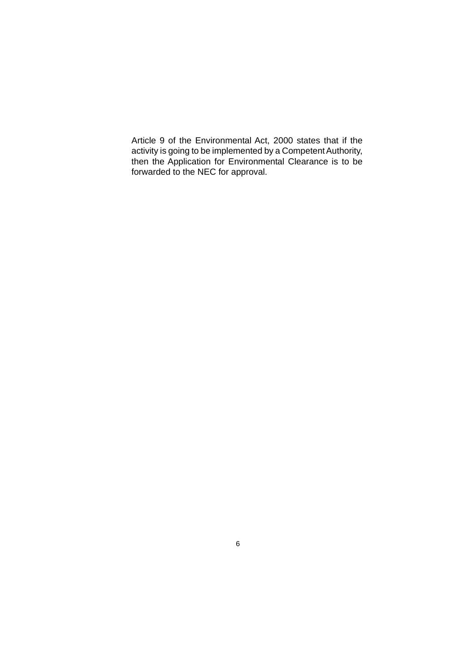Article 9 of the Environmental Act, 2000 states that if the activity is going to be implemented by a Competent Authority, then the Application for Environmental Clearance is to be forwarded to the NEC for approval.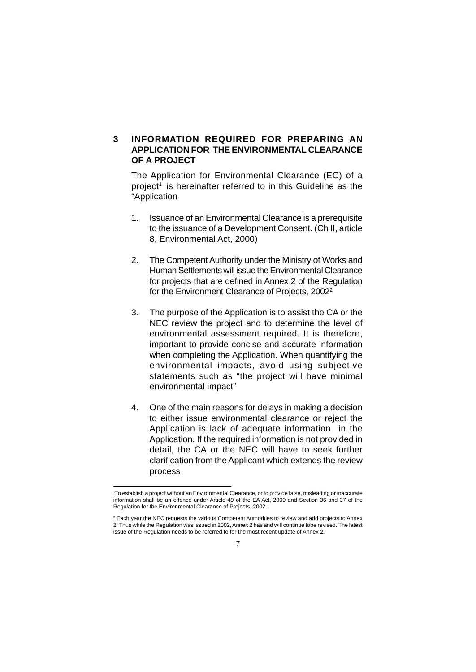## **3 INFORMATION REQUIRED FOR PREPARING AN APPLICATION FOR THE ENVIRONMENTAL CLEARANCE OF A PROJECT**

The Application for Environmental Clearance (EC) of a project<sup>1</sup> is hereinafter referred to in this Guideline as the "Application

- 1. Issuance of an Environmental Clearance is a prerequisite to the issuance of a Development Consent. (Ch II, article 8, Environmental Act, 2000)
- 2. The Competent Authority under the Ministry of Works and Human Settlements will issue the Environmental Clearance for projects that are defined in Annex 2 of the Regulation for the Environment Clearance of Projects, 2002<sup>2</sup>
- 3. The purpose of the Application is to assist the CA or the NEC review the project and to determine the level of environmental assessment required. It is therefore, important to provide concise and accurate information when completing the Application. When quantifying the environmental impacts, avoid using subjective statements such as "the project will have minimal environmental impact"
- 4. One of the main reasons for delays in making a decision to either issue environmental clearance or reject the Application is lack of adequate information in the Application. If the required information is not provided in detail, the CA or the NEC will have to seek further clarification from the Applicant which extends the review process

<sup>1</sup> To establish a project without an Environmental Clearance, or to provide false, misleading or inaccurate information shall be an offence under Article 49 of the EA Act, 2000 and Section 36 and 37 of the Regulation for the Environmental Clearance of Projects, 2002.

<sup>&</sup>lt;sup>2</sup> Each year the NEC requests the various Competent Authorities to review and add projects to Annex 2. Thus while the Regulation was issued in 2002, Annex 2 has and will continue tobe revised. The latest issue of the Regulation needs to be referred to for the most recent update of Annex 2.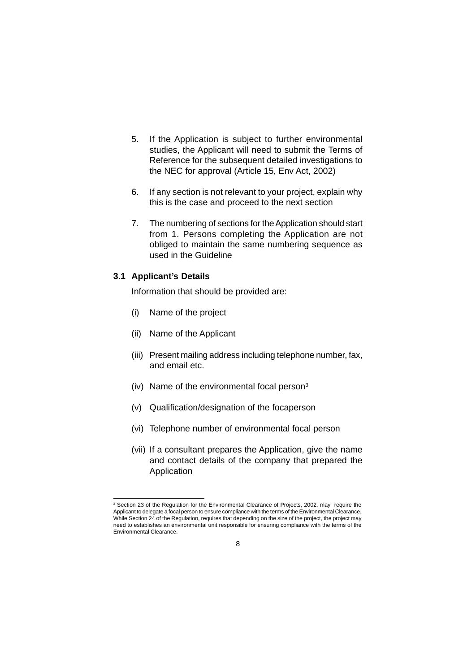- 5. If the Application is subject to further environmental studies, the Applicant will need to submit the Terms of Reference for the subsequent detailed investigations to the NEC for approval (Article 15, Env Act, 2002)
- 6. If any section is not relevant to your project, explain why this is the case and proceed to the next section
- 7. The numbering of sections for the Application should start from 1. Persons completing the Application are not obliged to maintain the same numbering sequence as used in the Guideline

#### **3.1 Applicant's Details**

Information that should be provided are:

- (i) Name of the project
- (ii) Name of the Applicant
- (iii) Present mailing address including telephone number, fax, and email etc.
- (iv) Name of the environmental focal person $3$
- (v) Qualification/designation of the focaperson
- (vi) Telephone number of environmental focal person
- (vii) If a consultant prepares the Application, give the name and contact details of the company that prepared the Application

<sup>&</sup>lt;sup>3</sup> Section 23 of the Regulation for the Environmental Clearance of Projects, 2002, may require the Applicant to delegate a focal person to ensure compliance with the terms of the Environmental Clearance. While Section 24 of the Regulation, requires that depending on the size of the project, the project may need to establishes an environmental unit responsible for ensuring compliance with the terms of the Environmental Clearance.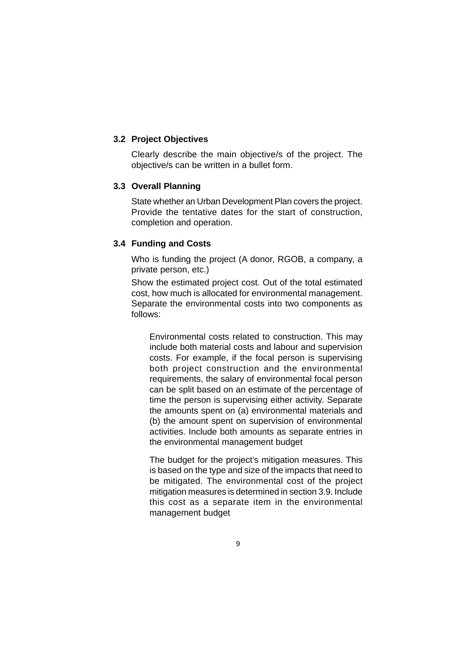#### **3.2 Project Objectives**

Clearly describe the main objective/s of the project. The objective/s can be written in a bullet form.

## **3.3 Overall Planning**

State whether an Urban Development Plan covers the project. Provide the tentative dates for the start of construction, completion and operation.

#### **3.4 Funding and Costs**

Who is funding the project (A donor, RGOB, a company, a private person, etc.)

Show the estimated project cost. Out of the total estimated cost, how much is allocated for environmental management. Separate the environmental costs into two components as follows:

Environmental costs related to construction. This may include both material costs and labour and supervision costs. For example, if the focal person is supervising both project construction and the environmental requirements, the salary of environmental focal person can be split based on an estimate of the percentage of time the person is supervising either activity. Separate the amounts spent on (a) environmental materials and (b) the amount spent on supervision of environmental activities. Include both amounts as separate entries in the environmental management budget

The budget for the project's mitigation measures. This is based on the type and size of the impacts that need to be mitigated. The environmental cost of the project mitigation measures is determined in section 3.9. Include this cost as a separate item in the environmental management budget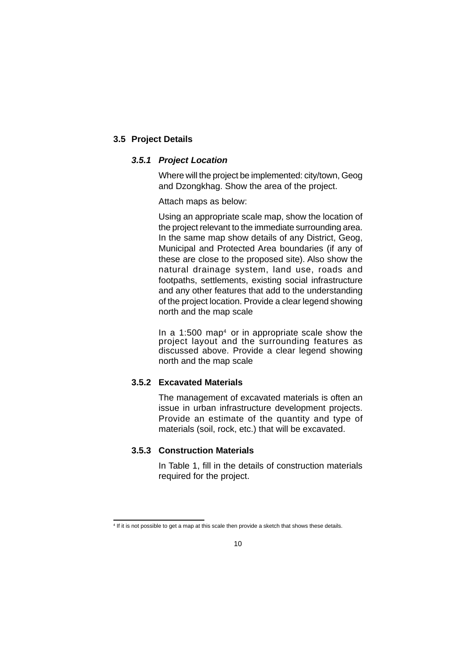#### **3.5 Project Details**

#### *3.5.1 Project Location*

Where will the project be implemented: city/town, Geog and Dzongkhag. Show the area of the project.

Attach maps as below:

Using an appropriate scale map, show the location of the project relevant to the immediate surrounding area. In the same map show details of any District, Geog, Municipal and Protected Area boundaries (if any of these are close to the proposed site). Also show the natural drainage system, land use, roads and footpaths, settlements, existing social infrastructure and any other features that add to the understanding of the project location. Provide a clear legend showing north and the map scale

In a 1:500 map<sup>4</sup> or in appropriate scale show the project layout and the surrounding features as discussed above. Provide a clear legend showing north and the map scale

#### **3.5.2 Excavated Materials**

The management of excavated materials is often an issue in urban infrastructure development projects. Provide an estimate of the quantity and type of materials (soil, rock, etc.) that will be excavated.

#### **3.5.3 Construction Materials**

In Table 1, fill in the details of construction materials required for the project.

<sup>4</sup> If it is not possible to get a map at this scale then provide a sketch that shows these details.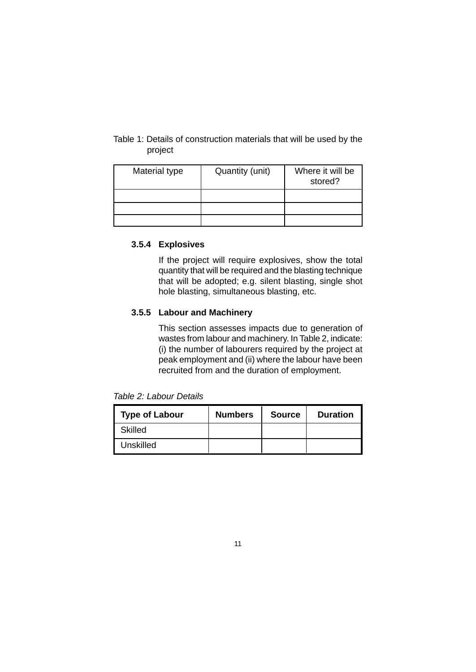## Table 1: Details of construction materials that will be used by the project

| Material type | Quantity (unit) | Where it will be<br>stored? |
|---------------|-----------------|-----------------------------|
|               |                 |                             |
|               |                 |                             |
|               |                 |                             |

## **3.5.4 Explosives**

If the project will require explosives, show the total quantity that will be required and the blasting technique that will be adopted; e.g. silent blasting, single shot hole blasting, simultaneous blasting, etc.

## **3.5.5 Labour and Machinery**

This section assesses impacts due to generation of wastes from labour and machinery. In Table 2, indicate: (i) the number of labourers required by the project at peak employment and (ii) where the labour have been recruited from and the duration of employment.

| <b>Type of Labour</b> | <b>Numbers</b> | <b>Source</b> | <b>Duration</b> |  |
|-----------------------|----------------|---------------|-----------------|--|
| <b>Skilled</b>        |                |               |                 |  |
| <b>Unskilled</b>      |                |               |                 |  |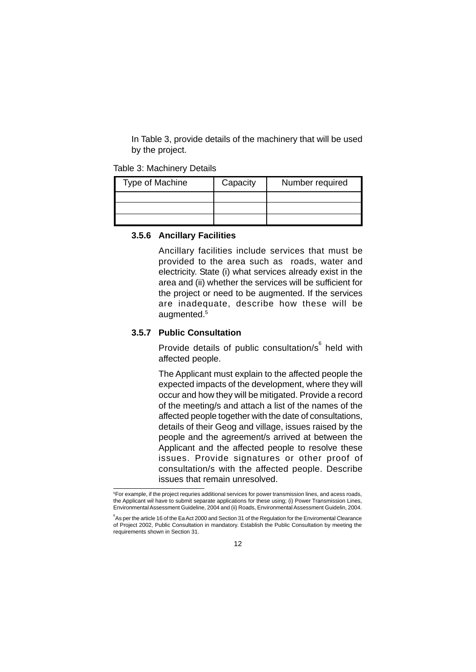In Table 3, provide details of the machinery that will be used by the project.

Table 3: Machinery Details

| Type of Machine | Capacity | Number required |  |  |
|-----------------|----------|-----------------|--|--|
|                 |          |                 |  |  |
|                 |          |                 |  |  |
|                 |          |                 |  |  |

#### **3.5.6 Ancillary Facilities**

Ancillary facilities include services that must be provided to the area such as roads, water and electricity. State (i) what services already exist in the area and (ii) whether the services will be sufficient for the project or need to be augmented. If the services are inadequate, describe how these will be augmented.<sup>5</sup>

#### **3.5.7 Public Consultation**

Provide details of public consultation/s $\degree$  held with affected people.

The Applicant must explain to the affected people the expected impacts of the development, where they will occur and how they will be mitigated. Provide a record of the meeting/s and attach a list of the names of the affected people together with the date of consultations, details of their Geog and village, issues raised by the people and the agreement/s arrived at between the Applicant and the affected people to resolve these issues. Provide signatures or other proof of consultation/s with the affected people. Describe issues that remain unresolved.

<sup>5</sup>For example, if the project requries additional services for power transmission lines, and acess roads, the Applicant wil have to submit separate applications for these using; (i) Power Transmission Lines, Environmental Assessment Guideline, 2004 and (ii) Roads, Environmental Assessment Guidelin, 2004.

 $^{\circ}$ As per the article 16 of the Ea Act 2000 and Section 31 of the Regulation for the Enviromental Clearance of Project 2002, Public Consultation in mandatory. Establish the Public Consultation by meeting the requirements shown in Section 31.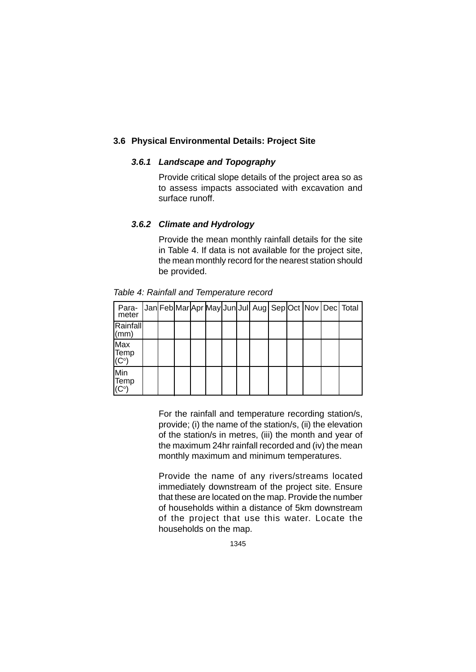## **3.6 Physical Environmental Details: Project Site**

#### *3.6.1 Landscape and Topography*

Provide critical slope details of the project area so as to assess impacts associated with excavation and surface runoff.

#### *3.6.2 Climate and Hydrology*

Provide the mean monthly rainfall details for the site in Table 4. If data is not available for the project site, the mean monthly record for the nearest station should be provided.

| Para-<br>meter             |  |  |  |  |  |  |  |
|----------------------------|--|--|--|--|--|--|--|
| Rainfall<br>(mm)           |  |  |  |  |  |  |  |
| Max<br>Temp<br>(C°)        |  |  |  |  |  |  |  |
| Min<br>Temp<br>$C^{\circ}$ |  |  |  |  |  |  |  |

*Table 4: Rainfall and Temperature record*

For the rainfall and temperature recording station/s, provide; (i) the name of the station/s, (ii) the elevation of the station/s in metres, (iii) the month and year of the maximum 24hr rainfall recorded and (iv) the mean monthly maximum and minimum temperatures.

Provide the name of any rivers/streams located immediately downstream of the project site. Ensure that these are located on the map. Provide the number of households within a distance of 5km downstream of the project that use this water. Locate the households on the map.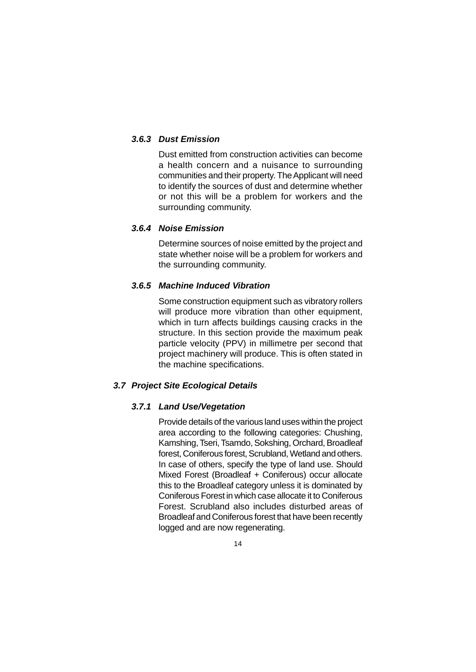## *3.6.3 Dust Emission*

Dust emitted from construction activities can become a health concern and a nuisance to surrounding communities and their property. The Applicant will need to identify the sources of dust and determine whether or not this will be a problem for workers and the surrounding community.

## *3.6.4 Noise Emission*

Determine sources of noise emitted by the project and state whether noise will be a problem for workers and the surrounding community.

## *3.6.5 Machine Induced Vibration*

Some construction equipment such as vibratory rollers will produce more vibration than other equipment, which in turn affects buildings causing cracks in the structure. In this section provide the maximum peak particle velocity (PPV) in millimetre per second that project machinery will produce. This is often stated in the machine specifications.

## *3.7 Project Site Ecological Details*

#### *3.7.1 Land Use/Vegetation*

Provide details of the various land uses within the project area according to the following categories: Chushing, Kamshing, Tseri, Tsamdo, Sokshing, Orchard, Broadleaf forest, Coniferous forest, Scrubland, Wetland and others. In case of others, specify the type of land use. Should Mixed Forest (Broadleaf + Coniferous) occur allocate this to the Broadleaf category unless it is dominated by Coniferous Forest in which case allocate it to Coniferous Forest. Scrubland also includes disturbed areas of Broadleaf and Coniferous forest that have been recently logged and are now regenerating.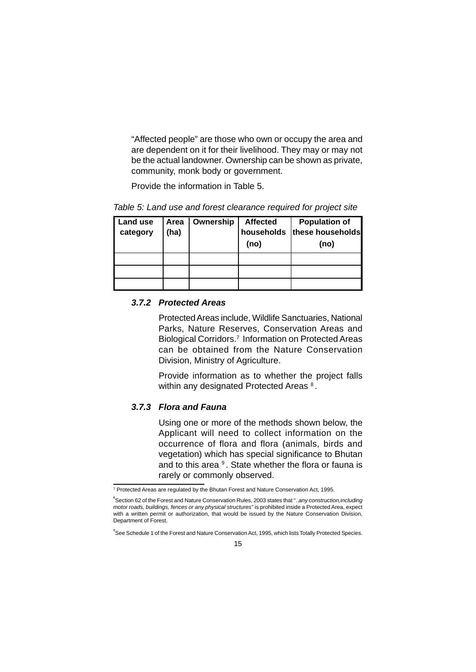"Affected people" are those who own or occupy the area and are dependent on it for their livelihood. They may or may not be the actual landowner. Ownership can be shown as private, community, monk body or government.

Provide the information in Table 5.

*Table 5: Land use and forest clearance required for project site*

| Land use<br>category | Ownership<br>Area<br>(ha) |  | <b>Affected</b><br>(no) | <b>Population of</b><br>households these households<br>(no) |  |  |
|----------------------|---------------------------|--|-------------------------|-------------------------------------------------------------|--|--|
|                      |                           |  |                         |                                                             |  |  |
|                      |                           |  |                         |                                                             |  |  |
|                      |                           |  |                         |                                                             |  |  |

#### *3.7.2 Protected Areas*

Protected Areas include, Wildlife Sanctuaries, National Parks, Nature Reserves, Conservation Areas and Biological Corridors.<sup>7</sup> Information on Protected Areas can be obtained from the Nature Conservation Division, Ministry of Agriculture.

Provide information as to whether the project falls within any designated Protected Areas <sup>8</sup>.

#### *3.7.3 Flora and Fauna*

Using one or more of the methods shown below, the Applicant will need to collect information on the occurrence of flora and flora (animals, birds and vegetation) which has special significance to Bhutan and to this area  $9$ . State whether the flora or fauna is rarely or commonly observed.

<sup>7</sup> Protected Areas are regulated by the Bhutan Forest and Nature Conservation Act, 1995.

<sup>8</sup> Section 62 of the Forest and Nature Conservation Rules, 2003 states that "..*any construction,including motor roads, buildings, fences or any physical structures"* is prohibited inside a Protected Area, expect with a written permit or authorization, that would be issued by the Nature Conservation Division, Department of Forest.

<sup>&</sup>lt;sup>9</sup>See Schedule 1 of the Forest and Nature Conservation Act, 1995, which lists Totally Protected Species.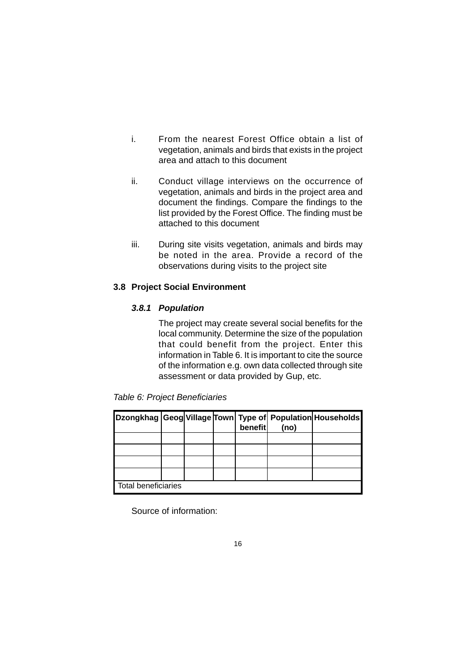- i. From the nearest Forest Office obtain a list of vegetation, animals and birds that exists in the project area and attach to this document
- ii. Conduct village interviews on the occurrence of vegetation, animals and birds in the project area and document the findings. Compare the findings to the list provided by the Forest Office. The finding must be attached to this document
- iii. During site visits vegetation, animals and birds may be noted in the area. Provide a record of the observations during visits to the project site

## **3.8 Project Social Environment**

## *3.8.1 Population*

The project may create several social benefits for the local community. Determine the size of the population that could benefit from the project. Enter this information in Table 6. It is important to cite the source of the information e.g. own data collected through site assessment or data provided by Gup, etc.

|                     |  |  |  | benefit | (no) | Dzongkhag Geog Village Town   Type of   Population   Households |
|---------------------|--|--|--|---------|------|-----------------------------------------------------------------|
|                     |  |  |  |         |      |                                                                 |
|                     |  |  |  |         |      |                                                                 |
|                     |  |  |  |         |      |                                                                 |
|                     |  |  |  |         |      |                                                                 |
| Total beneficiaries |  |  |  |         |      |                                                                 |

Source of information: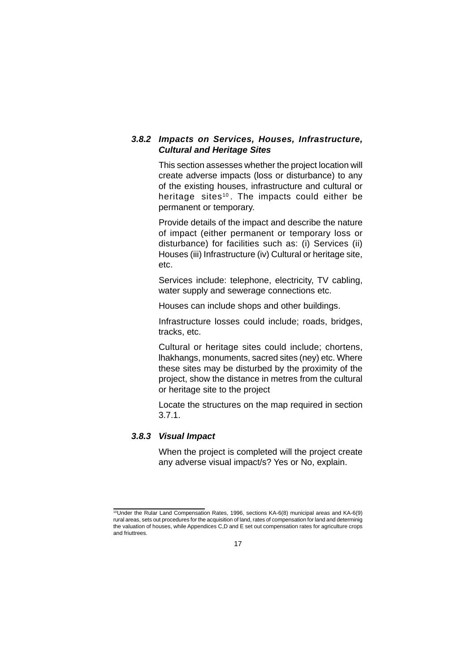## *3.8.2 Impacts on Services, Houses, Infrastructure, Cultural and Heritage Sites*

This section assesses whether the project location will create adverse impacts (loss or disturbance) to any of the existing houses, infrastructure and cultural or heritage sites<sup>10</sup>. The impacts could either be permanent or temporary.

Provide details of the impact and describe the nature of impact (either permanent or temporary loss or disturbance) for facilities such as: (i) Services (ii) Houses (iii) Infrastructure (iv) Cultural or heritage site, etc.

Services include: telephone, electricity, TV cabling, water supply and sewerage connections etc.

Houses can include shops and other buildings.

Infrastructure losses could include; roads, bridges, tracks, etc.

Cultural or heritage sites could include; chortens, lhakhangs, monuments, sacred sites (ney) etc. Where these sites may be disturbed by the proximity of the project, show the distance in metres from the cultural or heritage site to the project

Locate the structures on the map required in section 3.7.1.

## *3.8.3 Visual Impact*

When the project is completed will the project create any adverse visual impact/s? Yes or No, explain.

<sup>10</sup>Under the Rular Land Compensation Rates, 1996, sections KA-6(8) municipal areas and KA-6(9) rural areas, sets out procedures for the acquisition of land, rates of compensation for land and determinig the valuation of houses, while Appendices C,D and E set out compensation rates for agriculture crops and friuttrees.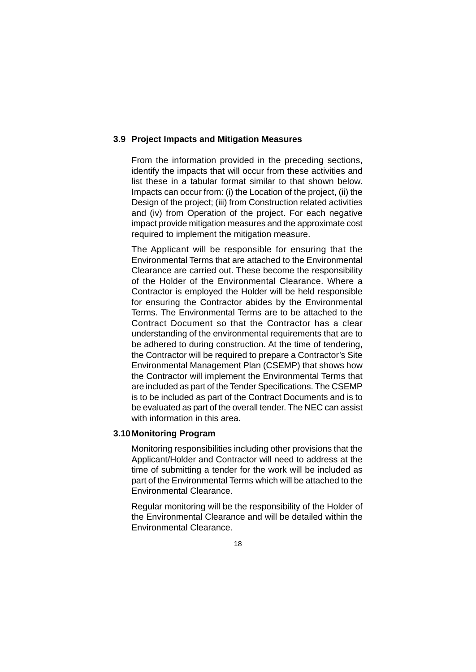#### **3.9 Project Impacts and Mitigation Measures**

From the information provided in the preceding sections, identify the impacts that will occur from these activities and list these in a tabular format similar to that shown below. Impacts can occur from: (i) the Location of the project, (ii) the Design of the project; (iii) from Construction related activities and (iv) from Operation of the project. For each negative impact provide mitigation measures and the approximate cost required to implement the mitigation measure.

The Applicant will be responsible for ensuring that the Environmental Terms that are attached to the Environmental Clearance are carried out. These become the responsibility of the Holder of the Environmental Clearance. Where a Contractor is employed the Holder will be held responsible for ensuring the Contractor abides by the Environmental Terms. The Environmental Terms are to be attached to the Contract Document so that the Contractor has a clear understanding of the environmental requirements that are to be adhered to during construction. At the time of tendering, the Contractor will be required to prepare a Contractor's Site Environmental Management Plan (CSEMP) that shows how the Contractor will implement the Environmental Terms that are included as part of the Tender Specifications. The CSEMP is to be included as part of the Contract Documents and is to be evaluated as part of the overall tender. The NEC can assist with information in this area.

#### **3.10Monitoring Program**

Monitoring responsibilities including other provisions that the Applicant/Holder and Contractor will need to address at the time of submitting a tender for the work will be included as part of the Environmental Terms which will be attached to the Environmental Clearance.

Regular monitoring will be the responsibility of the Holder of the Environmental Clearance and will be detailed within the Environmental Clearance.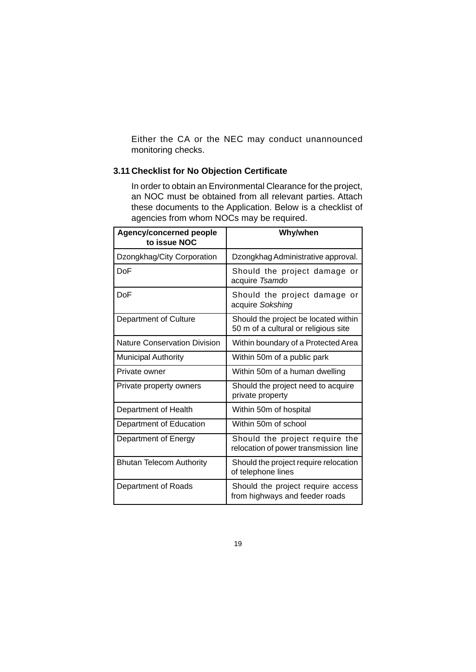Either the CA or the NEC may conduct unannounced monitoring checks.

## **3.11 Checklist for No Objection Certificate**

In order to obtain an Environmental Clearance for the project, an NOC must be obtained from all relevant parties. Attach these documents to the Application. Below is a checklist of agencies from whom NOCs may be required.

| <b>Agency/concerned people</b><br>to issue NOC | Why/when                                                                     |
|------------------------------------------------|------------------------------------------------------------------------------|
| Dzongkhag/City Corporation                     | Dzongkhag Administrative approval.                                           |
| DoF                                            | Should the project damage or<br>acquire Tsamdo                               |
| DoF                                            | Should the project damage or<br>acquire Sokshing                             |
| Department of Culture                          | Should the project be located within<br>50 m of a cultural or religious site |
| <b>Nature Conservation Division</b>            | Within boundary of a Protected Area                                          |
| <b>Municipal Authority</b>                     | Within 50m of a public park                                                  |
| Private owner                                  | Within 50m of a human dwelling                                               |
| Private property owners                        | Should the project need to acquire<br>private property                       |
| Department of Health                           | Within 50m of hospital                                                       |
| Department of Education                        | Within 50m of school                                                         |
| Department of Energy                           | Should the project require the<br>relocation of power transmission line      |
| <b>Bhutan Telecom Authority</b>                | Should the project require relocation<br>of telephone lines                  |
| Department of Roads                            | Should the project require access<br>from highways and feeder roads          |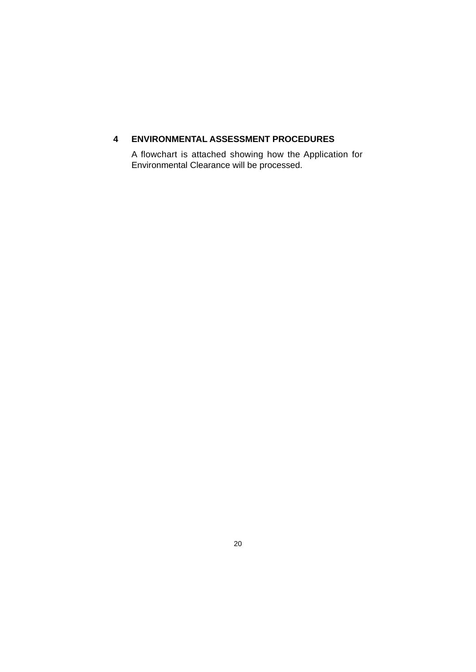# **4 ENVIRONMENTAL ASSESSMENT PROCEDURES**

A flowchart is attached showing how the Application for Environmental Clearance will be processed.